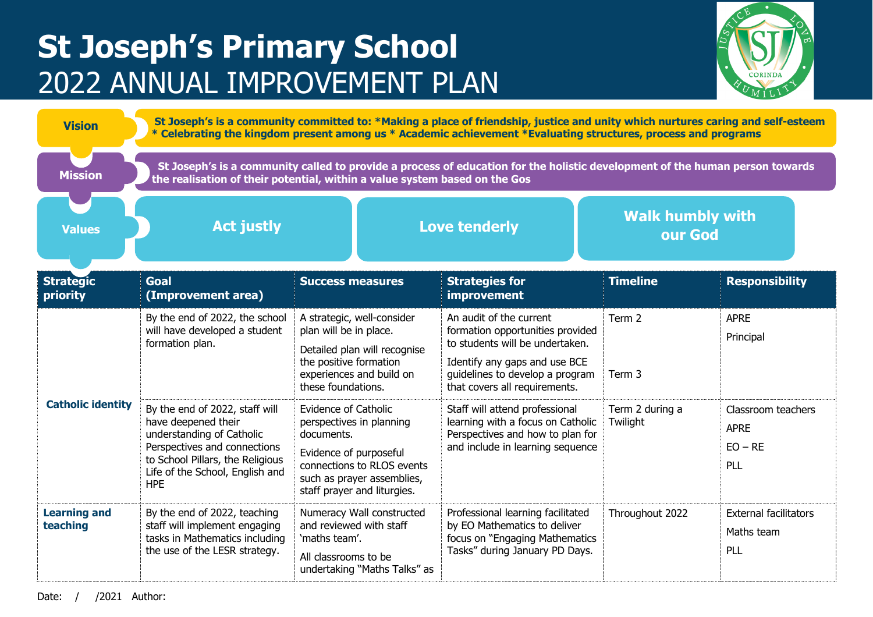## **St Joseph's Primary School** 2022 ANNUAL IMPROVEMENT PLAN



| <b>Vision</b>                   | St Joseph's is a community committed to: *Making a place of friendship, justice and unity which nurtures caring and self-esteem<br>* Celebrating the kingdom present among us * Academic achievement *Evaluating structures, process and programs |                                                                                                                                                                                     |                                                                                                                                                                                                     |                                    |                                                       |  |  |  |
|---------------------------------|---------------------------------------------------------------------------------------------------------------------------------------------------------------------------------------------------------------------------------------------------|-------------------------------------------------------------------------------------------------------------------------------------------------------------------------------------|-----------------------------------------------------------------------------------------------------------------------------------------------------------------------------------------------------|------------------------------------|-------------------------------------------------------|--|--|--|
| <b>Mission</b>                  | St Joseph's is a community called to provide a process of education for the holistic development of the human person towards<br>the realisation of their potential, within a value system based on the Gos                                        |                                                                                                                                                                                     |                                                                                                                                                                                                     |                                    |                                                       |  |  |  |
| <b>Values</b>                   | <b>Act justly</b>                                                                                                                                                                                                                                 |                                                                                                                                                                                     | <b>Love tenderly</b>                                                                                                                                                                                | <b>Walk humbly with</b><br>our God |                                                       |  |  |  |
| <b>Strategic</b><br>priority    | <b>Goal</b><br>(Improvement area)                                                                                                                                                                                                                 | <b>Success measures</b>                                                                                                                                                             | <b>Strategies for</b><br>improvement                                                                                                                                                                | <b>Timeline</b>                    | <b>Responsibility</b>                                 |  |  |  |
| <b>Catholic identity</b>        | By the end of 2022, the school<br>will have developed a student<br>formation plan.                                                                                                                                                                | A strategic, well-consider<br>plan will be in place.<br>Detailed plan will recognise<br>the positive formation<br>experiences and build on<br>these foundations.                    | An audit of the current<br>formation opportunities provided<br>to students will be undertaken.<br>Identify any gaps and use BCE<br>guidelines to develop a program<br>that covers all requirements. | Term 2<br>Term 3                   | <b>APRE</b><br>Principal                              |  |  |  |
|                                 | By the end of 2022, staff will<br>have deepened their<br>understanding of Catholic<br>Perspectives and connections<br>to School Pillars, the Religious<br>Life of the School, English and<br><b>HPE</b>                                           | Evidence of Catholic<br>perspectives in planning<br>documents.<br>Evidence of purposeful<br>connections to RLOS events<br>such as prayer assemblies,<br>staff prayer and liturgies. | Staff will attend professional<br>learning with a focus on Catholic<br>Perspectives and how to plan for<br>and include in learning sequence                                                         | Term 2 during a<br>Twilight        | Classroom teachers<br><b>APRE</b><br>$EO - RE$<br>PLL |  |  |  |
| <b>Learning and</b><br>teaching | By the end of 2022, teaching<br>staff will implement engaging<br>tasks in Mathematics including<br>the use of the LESR strategy.                                                                                                                  | Numeracy Wall constructed<br>and reviewed with staff<br>'maths team'.<br>All classrooms to be<br>undertaking "Maths Talks" as                                                       | Professional learning facilitated<br>by EO Mathematics to deliver<br>focus on "Engaging Mathematics<br>Tasks" during January PD Days.                                                               | Throughout 2022                    | <b>External facilitators</b><br>Maths team<br>PLL     |  |  |  |